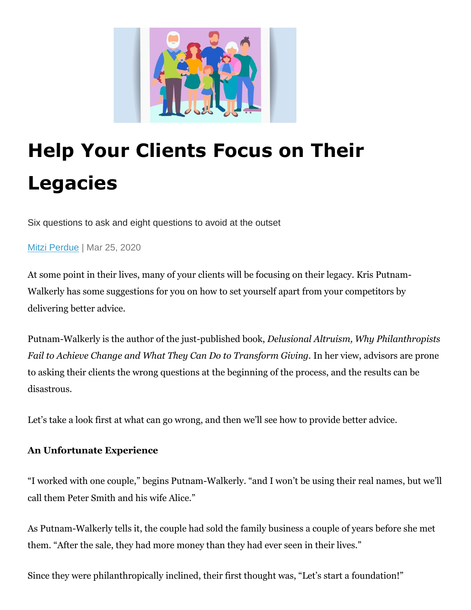

# **Help Your Clients Focus on Their Legacies**

Six questions to ask and eight questions to avoid at the outset

[Mitzi Perdue](https://www.wealthmanagement.com/author/Mitzi-Perdue) | Mar 25, 2020

At some point in their lives, many of your clients will be focusing on their legacy. Kris Putnam-Walkerly has some suggestions for you on how to set yourself apart from your competitors by delivering better advice.

Putnam-Walkerly is the author of the just-published book, *Delusional Altruism, Why Philanthropists Fail to Achieve Change and What They Can Do to Transform Giving.* In her view, advisors are prone to asking their clients the wrong questions at the beginning of the process, and the results can be disastrous.

Let's take a look first at what can go wrong, and then we'll see how to provide better advice.

## **An Unfortunate Experience**

"I worked with one couple," begins Putnam-Walkerly. "and I won't be using their real names, but we'll call them Peter Smith and his wife Alice."

As Putnam-Walkerly tells it, the couple had sold the family business a couple of years before she met them. "After the sale, they had more money than they had ever seen in their lives."

Since they were philanthropically inclined, their first thought was, "Let's start a foundation!"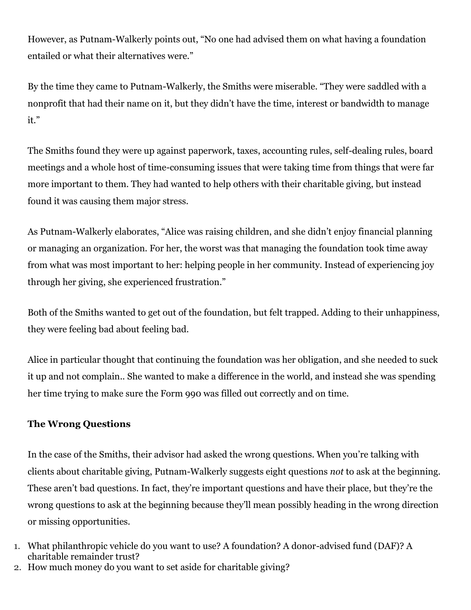However, as Putnam-Walkerly points out, "No one had advised them on what having a foundation entailed or what their alternatives were."

By the time they came to Putnam-Walkerly, the Smiths were miserable. "They were saddled with a nonprofit that had their name on it, but they didn't have the time, interest or bandwidth to manage it."

The Smiths found they were up against paperwork, taxes, accounting rules, self-dealing rules, board meetings and a whole host of time-consuming issues that were taking time from things that were far more important to them. They had wanted to help others with their charitable giving, but instead found it was causing them major stress.

As Putnam-Walkerly elaborates, "Alice was raising children, and she didn't enjoy financial planning or managing an organization. For her, the worst was that managing the foundation took time away from what was most important to her: helping people in her community. Instead of experiencing joy through her giving, she experienced frustration."

Both of the Smiths wanted to get out of the foundation, but felt trapped. Adding to their unhappiness, they were feeling bad about feeling bad.

Alice in particular thought that continuing the foundation was her obligation, and she needed to suck it up and not complain.. She wanted to make a difference in the world, and instead she was spending her time trying to make sure the Form 990 was filled out correctly and on time.

#### **The Wrong Questions**

In the case of the Smiths, their advisor had asked the wrong questions. When you're talking with clients about charitable giving, Putnam-Walkerly suggests eight questions *not* to ask at the beginning. These aren't bad questions. In fact, they're important questions and have their place, but they're the wrong questions to ask at the beginning because they'll mean possibly heading in the wrong direction or missing opportunities.

- 1. What philanthropic vehicle do you want to use? A foundation? A donor-advised fund (DAF)? A charitable remainder trust?
- 2. How much money do you want to set aside for charitable giving?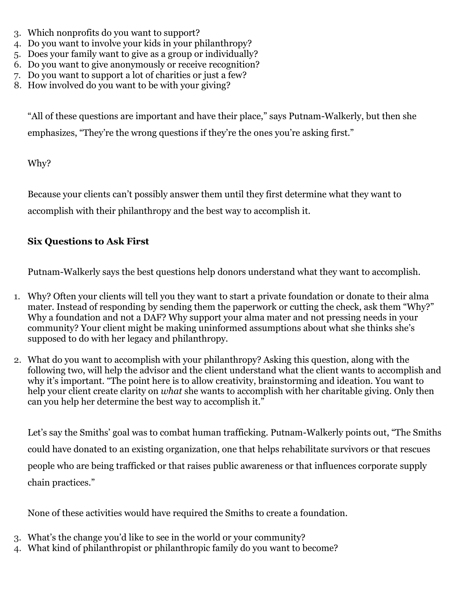- 3. Which nonprofits do you want to support?
- 4. Do you want to involve your kids in your philanthropy?
- 5. Does your family want to give as a group or individually?
- 6. Do you want to give anonymously or receive recognition?
- 7. Do you want to support a lot of charities or just a few?
- 8. How involved do you want to be with your giving?

"All of these questions are important and have their place," says Putnam-Walkerly, but then she emphasizes, "They're the wrong questions if they're the ones you're asking first."

Why?

Because your clients can't possibly answer them until they first determine what they want to accomplish with their philanthropy and the best way to accomplish it.

# **Six Questions to Ask First**

Putnam-Walkerly says the best questions help donors understand what they want to accomplish.

- 1. Why? Often your clients will tell you they want to start a private foundation or donate to their alma mater. Instead of responding by sending them the paperwork or cutting the check, ask them "Why?" Why a foundation and not a DAF? Why support your alma mater and not pressing needs in your community? Your client might be making uninformed assumptions about what she thinks she's supposed to do with her legacy and philanthropy.
- 2. What do you want to accomplish with your philanthropy? Asking this question, along with the following two, will help the advisor and the client understand what the client wants to accomplish and why it's important. "The point here is to allow creativity, brainstorming and ideation. You want to help your client create clarity on *what* she wants to accomplish with her charitable giving. Only then can you help her determine the best way to accomplish it."

Let's say the Smiths' goal was to combat human trafficking. Putnam-Walkerly points out, "The Smiths could have donated to an existing organization, one that helps rehabilitate survivors or that rescues people who are being trafficked or that raises public awareness or that influences corporate supply chain practices."

None of these activities would have required the Smiths to create a foundation.

- 3. What's the change you'd like to see in the world or your community?
- 4. What kind of philanthropist or philanthropic family do you want to become?